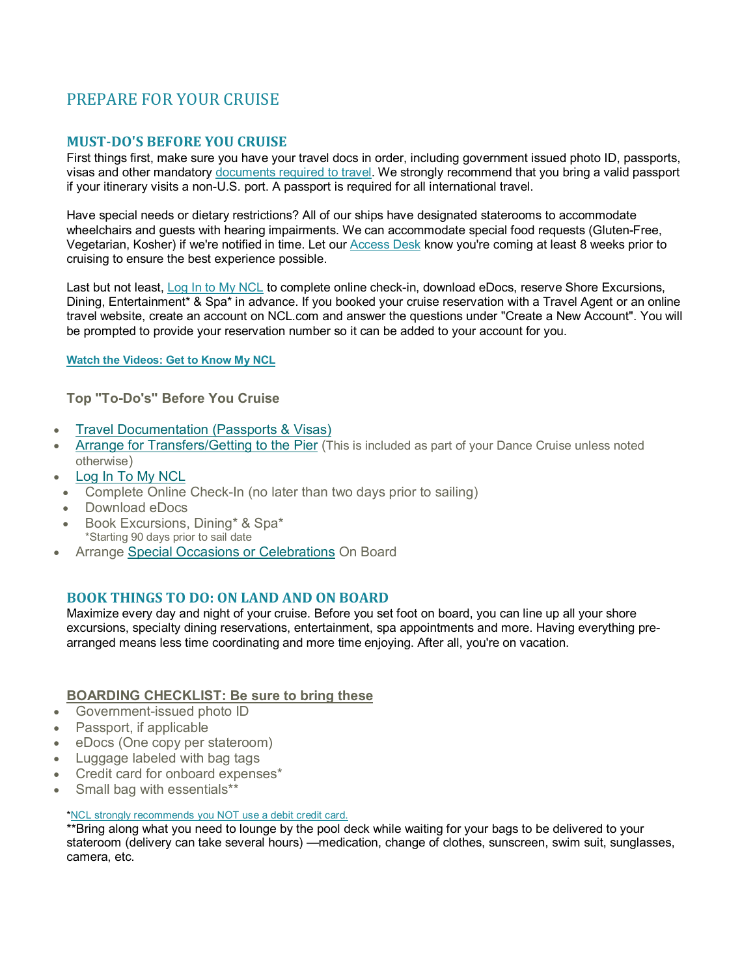# PREPARE FOR YOUR CRUISE

### **MUST-DO'S BEFORE YOU CRUISE**

First things first, make sure you have your travel docs in order, including government issued photo ID, passports, visas and other mandator[y documents](https://www.ncl.com/about/required-travel-documentation) required to travel. We strongly recommend that you bring a valid passport if your itinerary visits a non-U.S. port. A passport is required for all international travel.

Have special needs or dietary restrictions? All of our ships have designated staterooms to accommodate wheelchairs and guests with hearing impairments. We can accommodate special food requests (Gluten-Free, Vegetarian, Kosher) if we're notified in time. Let our [Access](https://www.ncl.com/about/accessible-cruising) Desk know you're coming at least 8 weeks prior to cruising to ensure the best experience possible.

Last but not least, Log In to My [NCL](https://www.ncl.com/login) to complete online check-in, download eDocs, reserve Shore Excursions, Dining, Entertainment\* & Spa\* in advance. If you booked your cruise reservation with a Travel Agent or an online travel website, create an account on NCL.com and answer the questions under "Create a New Account". You will be prompted to provide your reservation number so it can be added to your account for you.

**Watch the [Videos:](https://www.ncl.com/freestyle-cruise/get-to-know-my-ncl) Get to Know My NCL**

### **Top "To-Do's" Before You Cruise**

- Travel [Documentation](https://www.ncl.com/about/required-travel-documentation) (Passports & Visas)
- Arrange for [Transfers/Getting](https://www.ncl.com/freestyle-cruise/getting-to-the-pier) to the Pier (This is included as part of your Dance Cruise unless noted otherwise)
- **Log In To My [NCL](https://www.ncl.com/login)**
- Complete Online Check-In (no later than two days prior to sailing)
- Download eDocs
- Book Excursions, Dining\* & Spa\* \*Starting 90 days prior to sail date
- Arrange Special Occasions or [Celebrations](https://www.ncl.com/onboard-gifts) On Board

### **BOOK THINGS TO DO: ON LAND AND ON BOARD**

Maximize every day and night of your cruise. Before you set foot on board, you can line up all your shore excursions, specialty dining reservations, entertainment, spa appointments and more. Having everything prearranged means less time coordinating and more time enjoying. After all, you're on vacation.

### **BOARDING CHECKLIST: Be sure to bring these**

- Government-issued photo ID
- Passport, if applicable
- eDocs (One copy per stateroom)
- Luggage labeled with bag tags
- Credit card for onboard expenses\*
- Small bag with essentials\*\*

#### \*NCL strongly [recommends](https://www.ncl.com/faq#onboard-expenses) you NOT use a debit credit card.

\*\*Bring along what you need to lounge by the pool deck while waiting for your bags to be delivered to your stateroom (delivery can take several hours) —medication, change of clothes, sunscreen, swim suit, sunglasses, camera, etc.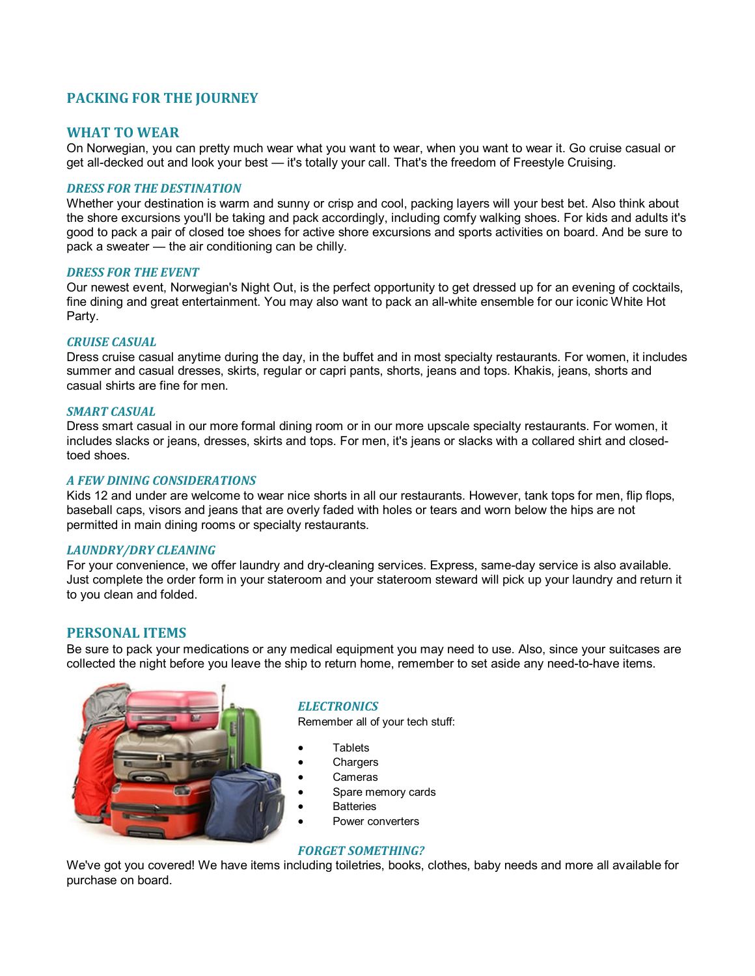## **PACKING FOR THE JOURNEY**

### **WHAT TO WEAR**

On Norwegian, you can pretty much wear what you want to wear, when you want to wear it. Go cruise casual or get all-decked out and look your best — it's totally your call. That's the freedom of Freestyle Cruising.

#### *DRESS FOR THE DESTINATION*

Whether your destination is warm and sunny or crisp and cool, packing layers will your best bet. Also think about the shore excursions you'll be taking and pack accordingly, including comfy walking shoes. For kids and adults it's good to pack a pair of closed toe shoes for active shore excursions and sports activities on board. And be sure to pack a sweater — the air conditioning can be chilly.

#### *DRESS FOR THE EVENT*

Our newest event, Norwegian's Night Out, is the perfect opportunity to get dressed up for an evening of cocktails, fine dining and great entertainment. You may also want to pack an all-white ensemble for our iconic White Hot Party.

#### *CRUISE CASUAL*

Dress cruise casual anytime during the day, in the buffet and in most specialty restaurants. For women, it includes summer and casual dresses, skirts, regular or capri pants, shorts, jeans and tops. Khakis, jeans, shorts and casual shirts are fine for men.

#### *SMART CASUAL*

Dress smart casual in our more formal dining room or in our more upscale specialty restaurants. For women, it includes slacks or jeans, dresses, skirts and tops. For men, it's jeans or slacks with a collared shirt and closedtoed shoes.

### *A FEW DINING CONSIDERATIONS*

Kids 12 and under are welcome to wear nice shorts in all our restaurants. However, tank tops for men, flip flops, baseball caps, visors and jeans that are overly faded with holes or tears and worn below the hips are not permitted in main dining rooms or specialty restaurants.

#### *LAUNDRY/DRY CLEANING*

For your convenience, we offer laundry and dry-cleaning services. Express, same-day service is also available. Just complete the order form in your stateroom and your stateroom steward will pick up your laundry and return it to you clean and folded.

#### **PERSONAL ITEMS**

Be sure to pack your medications or any medical equipment you may need to use. Also, since your suitcases are collected the night before you leave the ship to return home, remember to set aside any need-to-have items.



#### *ELECTRONICS*

Remember all of your tech stuff:

- **Tablets**
- **Chargers**
- **Cameras**
- Spare memory cards
- **Batteries**
- Power converters

#### *FORGET SOMETHING?*

We've got you covered! We have items including toiletries, books, clothes, baby needs and more all available for purchase on board.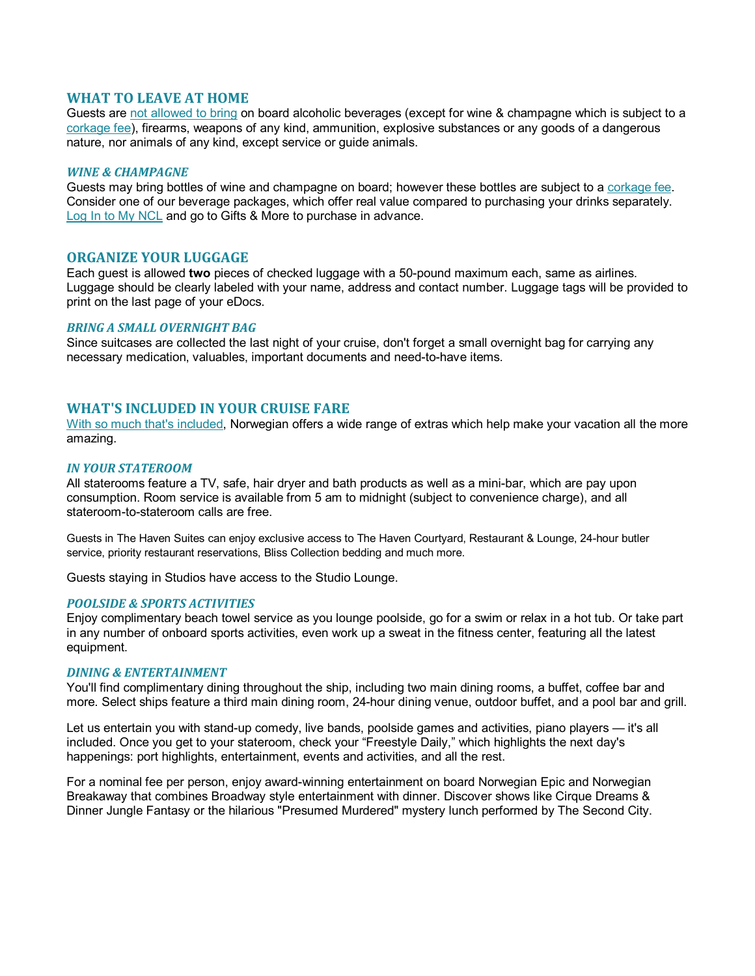### **WHAT TO LEAVE AT HOME**

Guests are not [allowed](https://www.ncl.com/faq#what-to-bring) to bring on board alcoholic beverages (except for wine & champagne which is subject to a [corkage](https://www.ncl.com/faq#alcohol-consumption) fee), firearms, weapons of any kind, ammunition, explosive substances or any goods of a dangerous nature, nor animals of any kind, except service or guide animals.

#### *WINE & CHAMPAGNE*

Guests may bring bottles of wine and champagne on board; however these bottles are subject to [a corkage](https://www.ncl.com/faq#alcohol-consumption) fee. Consider one of our beverage packages, which offer real value compared to purchasing your drinks separately. Log In to My [NCL](https://www.ncl.com/login) and go to Gifts & More to purchase in advance.

### **ORGANIZE YOUR LUGGAGE**

Each guest is allowed **two** pieces of checked luggage with a 50-pound maximum each, same as airlines. Luggage should be clearly labeled with your name, address and contact number. Luggage tags will be provided to print on the last page of your eDocs.

#### *BRING A SMALL OVERNIGHT BAG*

Since suitcases are collected the last night of your cruise, don't forget a small overnight bag for carrying any necessary medication, valuables, important documents and need-to-have items.

### **WHAT'S INCLUDED IN YOUR CRUISE FARE**

With so much that's [included,](https://www.ncl.com/faq/cruise-fare-includes) Norwegian offers a wide range of extras which help make your vacation all the more amazing.

#### *IN YOUR STATEROOM*

All staterooms feature a TV, safe, hair dryer and bath products as well as a mini-bar, which are pay upon consumption. Room service is available from 5 am to midnight (subject to convenience charge), and all stateroom-to-stateroom calls are free.

Guests in The Haven Suites can enjoy exclusive access to The Haven Courtyard, Restaurant & Lounge, 24-hour butler service, priority restaurant reservations, Bliss Collection bedding and much more.

Guests staying in Studios have access to the Studio Lounge.

#### *POOLSIDE & SPORTS ACTIVITIES*

Enjoy complimentary beach towel service as you lounge poolside, go for a swim or relax in a hot tub. Or take part in any number of onboard sports activities, even work up a sweat in the fitness center, featuring all the latest equipment.

#### *DINING & ENTERTAINMENT*

You'll find complimentary dining throughout the ship, including two main dining rooms, a buffet, coffee bar and more. Select ships feature a third main dining room, 24-hour dining venue, outdoor buffet, and a pool bar and grill.

Let us entertain you with stand-up comedy, live bands, poolside games and activities, piano players — it's all included. Once you get to your stateroom, check your "Freestyle Daily," which highlights the next day's happenings: port highlights, entertainment, events and activities, and all the rest.

For a nominal fee per person, enjoy award-winning entertainment on board Norwegian Epic and Norwegian Breakaway that combines Broadway style entertainment with dinner. Discover shows like Cirque Dreams & Dinner Jungle Fantasy or the hilarious "Presumed Murdered" mystery lunch performed by The Second City.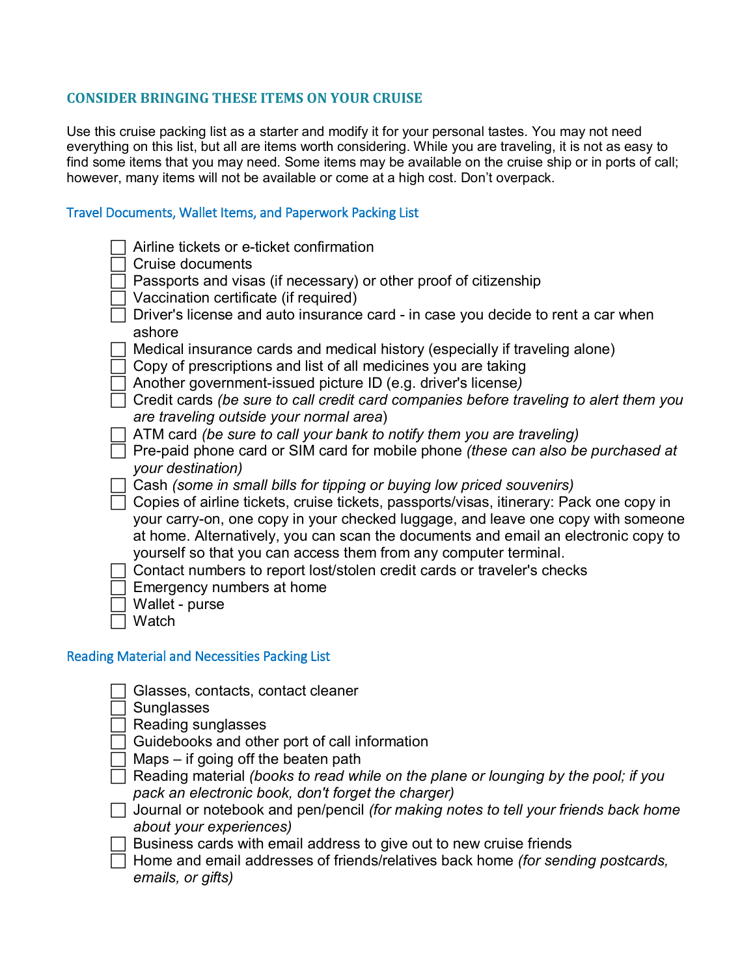## **CONSIDER BRINGING THESE ITEMS ON YOUR CRUISE**

Use this cruise packing list as a starter and modify it for your personal tastes. You may not need everything on this list, but all are items worth considering. While you are traveling, it is not as easy to find some items that you may need. Some items may be available on the cruise ship or in ports of call; however, many items will not be available or come at a high cost. Don't overpack.

## Travel Documents, Wallet Items, and Paperwork Packing List

|  |  |  |  |  | $\Box$ Airline tickets or e-ticket confirmation |  |
|--|--|--|--|--|-------------------------------------------------|--|
|--|--|--|--|--|-------------------------------------------------|--|

- Cruise documents
- Passports and visas (if necessary) or other proof of citizenship
- $\Box$  Vaccination certificate (if required)
- $\Box$  Driver's license and auto insurance card in case you decide to rent a car when ashore
- $\Box$  Medical insurance cards and medical history (especially if traveling alone)
- $\Box$  Copy of prescriptions and list of all medicines you are taking
- Another government-issued picture ID (e.g. driver's license*)*
- Credit cards *(be sure to call credit card companies before traveling to alert them you are traveling outside your normal area*)
- ATM card *(be sure to call your bank to notify them you are traveling)*
- Pre-paid phone card or SIM card for mobile phone *(these can also be purchased at your destination)*
- Cash *(some in small bills for tipping or buying low priced souvenirs)*
- $\Box$  Copies of airline tickets, cruise tickets, passports/visas, itinerary: Pack one copy in your carry-on, one copy in your checked luggage, and leave one copy with someone at home. Alternatively, you can scan the documents and email an electronic copy to yourself so that you can access them from any computer terminal.
- Contact numbers to report lost/stolen credit cards or traveler's checks
- Emergency numbers at home
- Wallet purse
- Watch

## Reading Material and Necessities Packing List

- Glasses, contacts, contact cleaner
- Sunglasses
- Reading sunglasses
- $\overline{\hspace{0.1cm}}$  Guidebooks and other port of call information
- $\Box$  Maps if going off the beaten path
- Reading material *(books to read while on the plane or lounging by the pool; if you pack an electronic book, don't forget the charger)*
- Journal or notebook and pen/pencil *(for making notes to tell your friends back home about your experiences)*
- Business cards with email address to give out to new cruise friends
- Home and email addresses of friends/relatives back home *(for sending postcards, emails, or gifts)*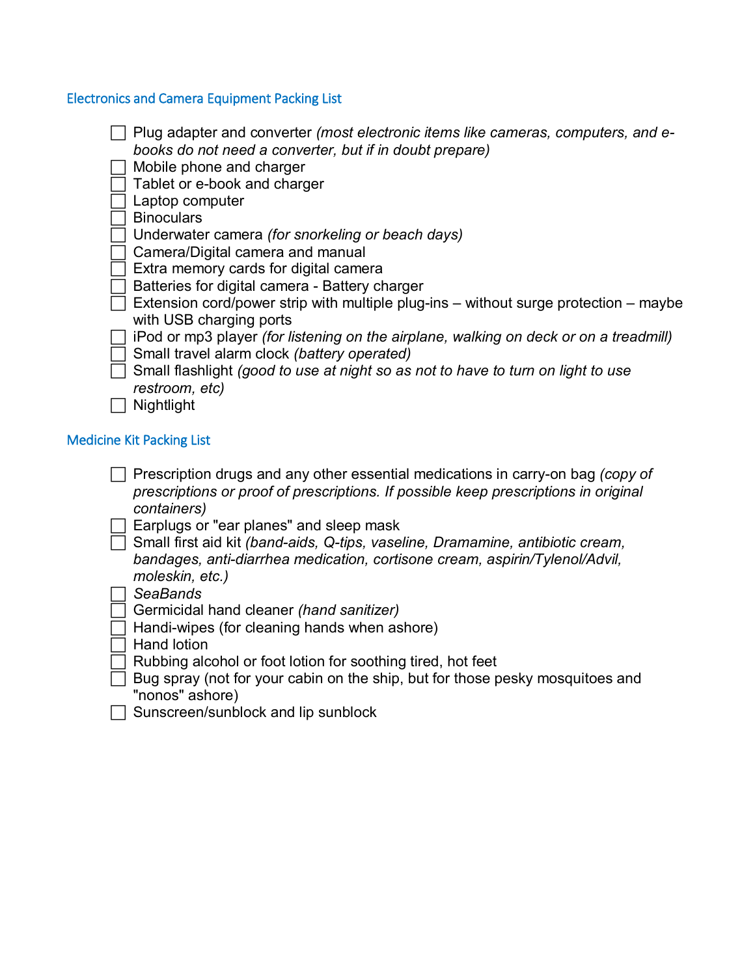## Electronics and Camera Equipment Packing List

 Plug adapter and converter *(most electronic items like cameras, computers, and ebooks do not need a converter, but if in doubt prepare)*

 $\Box$  Mobile phone and charger

 $\Box$  Tablet or e-book and charger

Laptop computer

Binoculars

Underwater camera *(for snorkeling or beach days)*

Camera/Digital camera and manual

 $\Box$  Extra memory cards for digital camera

- Batteries for digital camera Battery charger
- $\Box$  Extension cord/power strip with multiple plug-ins without surge protection maybe with USB charging ports
- iPod or mp3 player *(for listening on the airplane, walking on deck or on a treadmill)*
- Small travel alarm clock *(battery operated)*
- Small flashlight *(good to use at night so as not to have to turn on light to use restroom, etc)*
- $\Box$  Nightlight

## Medicine Kit Packing List

- Prescription drugs and any other essential medications in carry-on bag *(copy of prescriptions or proof of prescriptions. If possible keep prescriptions in original containers)*
	- Earplugs or "ear planes" and sleep mask
- Small first aid kit *(band-aids, Q-tips, vaseline, Dramamine, antibiotic cream, bandages, anti-diarrhea medication, cortisone cream, aspirin/Tylenol/Advil, moleskin, etc.)*
- *SeaBands*

Germicidal hand cleaner *(hand sanitizer)*

- $\Box$  Handi-wipes (for cleaning hands when ashore)
- $\sqcap$  Hand lotion
- Rubbing alcohol or foot lotion for soothing tired, hot feet
- $\Box$  Bug spray (not for your cabin on the ship, but for those pesky mosquitoes and "nonos" ashore)
- $\Box$  Sunscreen/sunblock and lip sunblock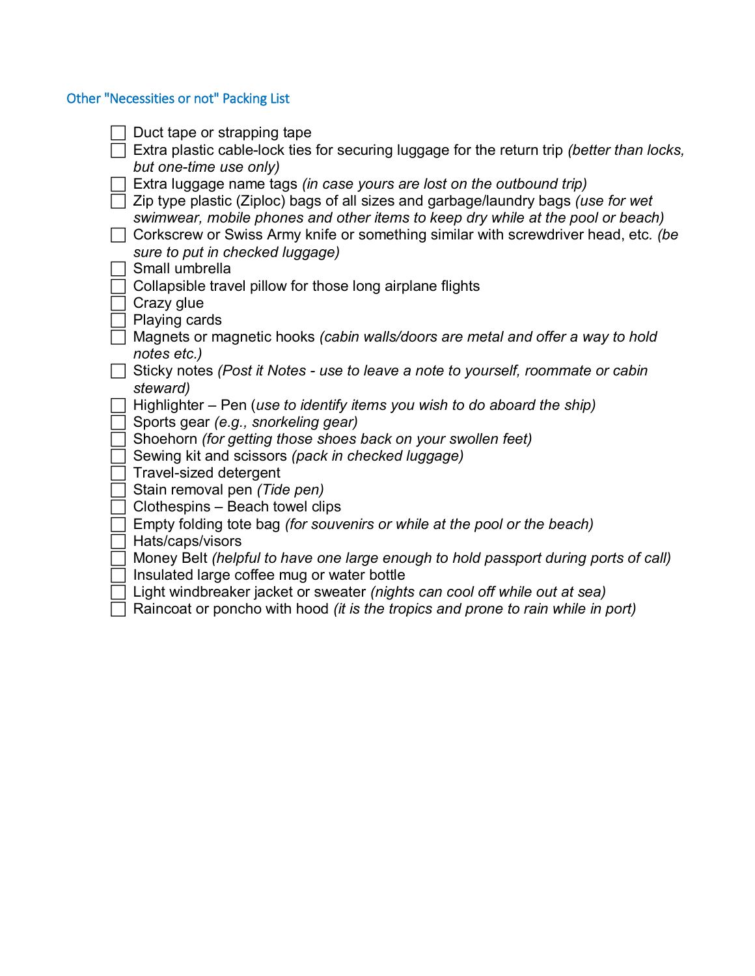# Other "Necessities or not" Packing List

| Duct tape or strapping tape                                                                |
|--------------------------------------------------------------------------------------------|
| Extra plastic cable-lock ties for securing luggage for the return trip (better than locks, |
| but one-time use only)                                                                     |
| Extra luggage name tags (in case yours are lost on the outbound trip)                      |
| $\Box$ Zip type plastic (Ziploc) bags of all sizes and garbage/laundry bags (use for wet   |
| swimwear, mobile phones and other items to keep dry while at the pool or beach)            |
| $\Box$ Corkscrew or Swiss Army knife or something similar with screwdriver head, etc. (be  |
| sure to put in checked luggage)                                                            |
| Small umbrella                                                                             |
| Collapsible travel pillow for those long airplane flights                                  |
| Crazy glue                                                                                 |
| Playing cards                                                                              |
| Magnets or magnetic hooks (cabin walls/doors are metal and offer a way to hold             |
| notes etc.)                                                                                |
| Sticky notes (Post it Notes - use to leave a note to yourself, roommate or cabin           |
| steward)                                                                                   |
| Highlighter – Pen (use to identify items you wish to do aboard the ship)                   |
| Sports gear (e.g., snorkeling gear)                                                        |
| Shoehorn (for getting those shoes back on your swollen feet)                               |
| Sewing kit and scissors (pack in checked luggage)                                          |
| Travel-sized detergent                                                                     |
| Stain removal pen (Tide pen)                                                               |
| Clothespins - Beach towel clips                                                            |
| Empty folding tote bag (for souvenirs or while at the pool or the beach)                   |
| Hats/caps/visors                                                                           |
| Money Belt (helpful to have one large enough to hold passport during ports of call)        |
| Insulated large coffee mug or water bottle                                                 |
| Light windbreaker jacket or sweater (nights can cool off while out at sea)                 |
| Raincoat or poncho with hood <i>(it is the tropics and prone to rain while in port)</i>    |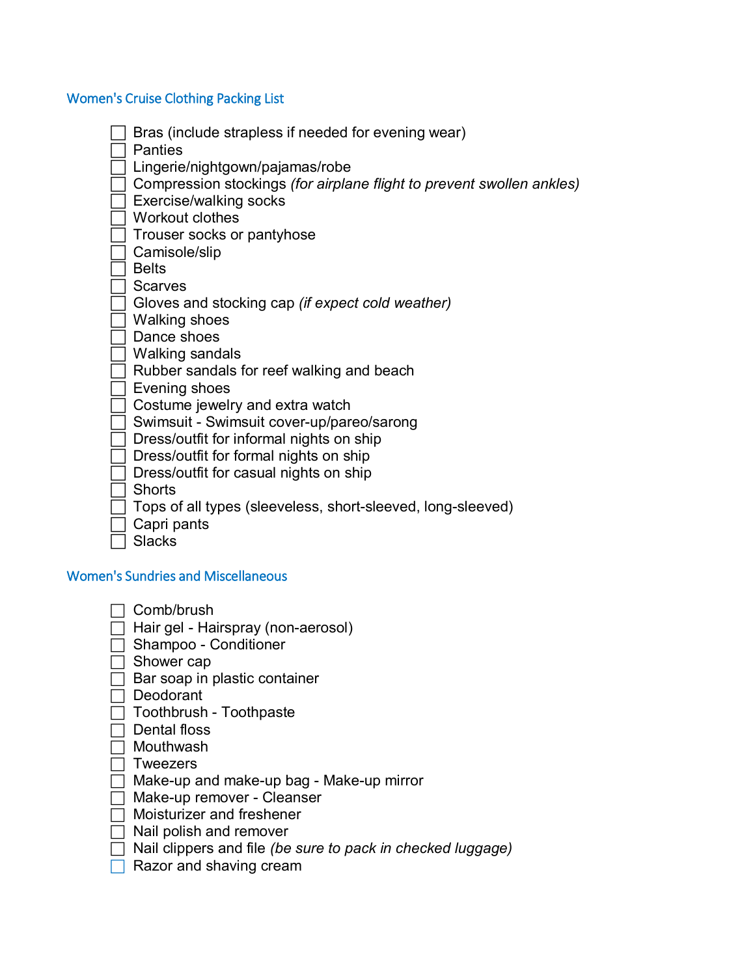## Women's Cruise Clothing Packing List

- Bras (include strapless if needed for evening wear)
- Panties
- Lingerie/nightgown/pajamas/robe
- Compression stockings *(for airplane flight to prevent swollen ankles)*
- $\Box$  Exercise/walking socks
- $\Box$  Workout clothes
- Trouser socks or pantyhose
- Camisole/slip
- $\sqsupset$  Belts
- $\sqsupset$  Scarves
- Gloves and stocking cap *(if expect cold weather)*
- $\Box$  Walking shoes
- $\Box$  Dance shoes
- $\Box$  Walking sandals
- Rubber sandals for reef walking and beach
- $\Box$  Evening shoes
- $\Box$  Costume jewelry and extra watch
- $\Box$  Swimsuit Swimsuit cover-up/pareo/sarong
- $\Box$  Dress/outfit for informal nights on ship
- $\Box$  Dress/outfit for formal nights on ship
- $\Box$  Dress/outfit for casual nights on ship
- Shorts
- Tops of all types (sleeveless, short-sleeved, long-sleeved)
- $\sqsupset$  Capri pants
- Slacks

## Women's Sundries and Miscellaneous

- $\Box$  Comb/brush
- $\Box$  Hair gel Hairspray (non-aerosol)
- □ Shampoo Conditioner
- $\Box$  Shower cap
- $\Box$  Bar soap in plastic container
- $\Box$  Deodorant
- $\Box$  Toothbrush Toothpaste
- $\Box$  Dental floss
- $\Box$  Mouthwash
- $\Box$  Tweezers
- $\Box$  Make-up and make-up bag Make-up mirror
- $\Box$  Make-up remover Cleanser
- $\Box$  Moisturizer and freshener
- $\Box$  Nail polish and remover
- Nail clippers and file *(be sure to pack in checked luggage)*
- $\Box$  Razor and shaving cream